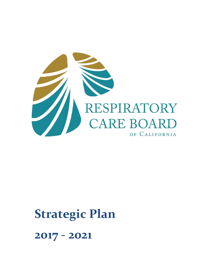

# **Strategic Plan**

**2017 - 2021**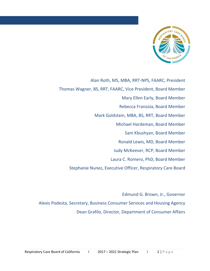

 Thomas Wagner, BS, RRT, FAARC, Vice President, Board Member Alan Roth, MS, MBA, RRT-NPS, FAARC, President Mary Ellen Early, Board Member Rebecca Franzoia, Board Member Mark Goldstein, MBA, BS, RRT, Board Member Michael Hardeman, Board Member Sam Kbushyan, Board Member Ronald Lewis, MD, Board Member Judy McKeever, RCP, Board Member Laura C. Romero, PhD, Board Member Stephanie Nunez, Executive Officer, Respiratory Care Board

 Edmund G. Brown, Jr., Governor Alexis Podesta, Secretary, Business Consumer Services and Housing Agency Dean Grafilo, Director, Department of Consumer Affairs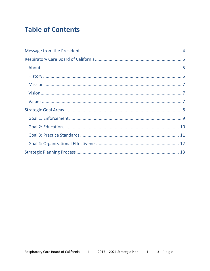## **Table of Contents**

<span id="page-2-0"></span>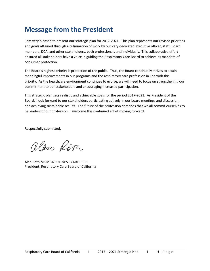## **Message from the President**

I am very pleased to present our strategic plan for 2017-2021. This plan represents our revised priorities and goals attained through a culmination of work by our very dedicated executive officer, staff, Board members, DCA, and other stakeholders, both professionals and individuals. This collaborative effort ensured all stakeholders have a voice in guiding the Respiratory Care Board to achieve its mandate of consumer protection.

The Board's highest priority is protection of the public. Thus, the Board continually strives to attain meaningful improvements in our programs and the respiratory care profession in line with this priority. As the healthcare environment continues to evolve, we will need to focus on strengthening our commitment to our stakeholders and encouraging increased participation.

This strategic plan sets realistic and achievable goals for the period 2017-2021. As President of the Board, I look forward to our stakeholders participating actively in our board meetings and discussion, and achieving sustainable results. The future of the profession demands that we all commit ourselves to be leaders of our profession. I welcome this continued effort moving forward.

Respectfully submitted,

alan Ropa

Alan Roth MS MBA RRT-NPS FAARC FCCP President, Respiratory Care Board of California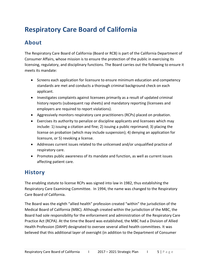# <span id="page-4-0"></span>**Respiratory Care Board of California**

#### <span id="page-4-1"></span>**About**

 The Respiratory Care Board of California (Board or RCB) is part of the California Department of Consumer Affairs, whose mission is to ensure the protection of the public in exercising its licensing, regulatory, and disciplinary functions. The Board carries out the following to ensure it meets its mandate:

- • Screens each application for licensure to ensure minimum education and competency standards are met and conducts a thorough criminal background check on each applicant.
- • Investigates complaints against licensees primarily as a result of updated criminal history reports (subsequent rap sheets) and mandatory reporting (licensees and employers are required to report violations).
- Aggressively monitors respiratory care practitioners (RCPs) placed on probation.
- • Exercises its authority to penalize or discipline applicants and licensees which may include: 1) issuing a citation and fine; 2) issuing a public reprimand; 3) placing the license on probation (which may include suspension); 4) denying an application for licensure, or 5) revoking a license.
- • Addresses current issues related to the unlicensed and/or unqualified practice of respiratory care.
- • Promotes public awareness of its mandate and function, as well as current issues affecting patient care.

#### <span id="page-4-2"></span>**History**

 The enabling statute to license RCPs was signed into law in 1982, thus establishing the Respiratory Care Examining Committee. In 1994, the name was changed to the Respiratory Care Board of California.

 The Board was the eighth "allied health" profession created "within" the jurisdiction of the Medical Board of California (MBC). Although created within the jurisdiction of the MBC, the Board had sole responsibility for the enforcement and administration of the Respiratory Care Practice Act (RCPA). At the time the Board was established, the MBC had a Division of Allied Health Profession (DAHP) designated to oversee several allied health committees. It was believed that this additional layer of oversight (in addition to the Department of Consumer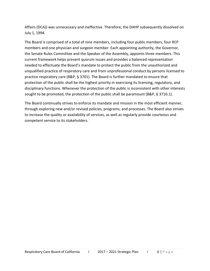Affairs (DCA)) was unnecessary and ineffective. Therefore, the DAHP subsequently dissolved on July 1, 1994.

 The Board is comprised of a total of nine members, including four public members, four RCP members and one physician and surgeon member. Each appointing authority, the Governor, the Senate Rules Committee and the Speaker of the Assembly, appoints three members. This current framework helps prevent quorum issues and provides a balanced representation needed to effectuate the Board's mandate to protect the public from the unauthorized and unqualified practice of respiratory care and from unprofessional conduct by persons licensed to practice respiratory care (B&P, § 3701). The Board is further mandated to ensure that protection of the public shall be the highest priority in exercising its licensing, regulatory, and disciplinary functions. Whenever the protection of the public is inconsistent with other interests sought to be promoted, the protection of the public shall be paramount (B&P, § 3710.1).

<span id="page-5-0"></span> The Board continually strives to enforce its mandate and mission in the most efficient manner, through exploring new and/or revised policies, programs, and processes. The Board also strives competent service to its stakeholders. to increase the quality or availability of services, as well as regularly provide courteous and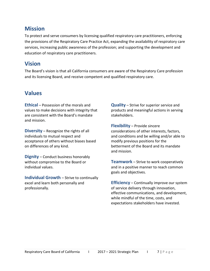#### **Mission**

 To protect and serve consumers by licensing qualified respiratory care practitioners, enforcing services, increasing public awareness of the profession; and supporting the development and the provisions of the Respiratory Care Practice Act, expanding the availability of respiratory care education of respiratory care practitioners.

#### <span id="page-6-0"></span>**Vision**

 The Board's vision is that all California consumers are aware of the Respiratory Care profession and its licensing Board, and receive competent and qualified respiratory care.

#### <span id="page-6-1"></span>**Values**

 **Ethical** – Possession of the morals and are consistent with the Board's mandate values to make decisions with integrity that and mission.

 individuals to mutual respect and acceptance of others without biases based **Diversity** – Recognize the rights of all on differences of any kind.

 without compromise to the Board or **Dignity** – Conduct business honorably individual values.

 excel and learn both personally and **Individual Growth** – Strive to continually professionally.

 **Quality** – Strive for superior service and products and meaningful actions in serving stakeholders.

 modify previous positions for the betterment of the Board and its mandate **Flexibility** – Provide sincere considerations of other interests, factors, and conditions and be willing and/or able to and mission.

 and in a positive manner to reach common **Teamwork** – Strive to work cooperatively goals and objectives.

 **Efficiency** – Continually improve our system of service delivery through innovation, while mindful of the time, costs, and effective communications, and development, expectations stakeholders have invested.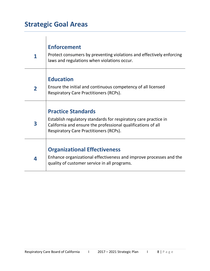## <span id="page-7-0"></span>**Strategic Goal Areas**

| 1              | <b>Enforcement</b><br>Protect consumers by preventing violations and effectively enforcing<br>laws and regulations when violations occur.                                                                     |
|----------------|---------------------------------------------------------------------------------------------------------------------------------------------------------------------------------------------------------------|
| $\overline{2}$ | <b>Education</b><br>Ensure the initial and continuous competency of all licensed<br><b>Respiratory Care Practitioners (RCPs).</b>                                                                             |
| 3              | <b>Practice Standards</b><br>Establish regulatory standards for respiratory care practice in<br>California and ensure the professional qualifications of all<br><b>Respiratory Care Practitioners (RCPs).</b> |
| 4              | <b>Organizational Effectiveness</b><br>Enhance organizational effectiveness and improve processes and the<br>quality of customer service in all programs.                                                     |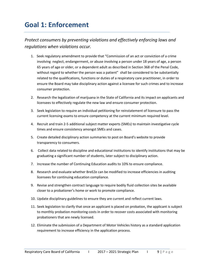## <span id="page-8-0"></span>**Goal 1: Enforcement**

 *Protect consumers by preventing violations and effectively enforcing laws and regulations when violations occur.* 

- involving neglect, endangerment, or abuse involving a person under 18 years of age, a person 65 years of age or older, or a dependent adult as described in Section 368 of the Penal Code, without regard to whether the person was a patient" shall be considered to be substantially 1. Seek regulatory amendment to provide that "Commission of an act or conviction of a crime related to the qualifications, functions or duties of a respiratory care practitioner, in order to ensure the Board may take disciplinary action against a licensee for such crimes and to increase consumer protection.
- 2. Research the legalization of marijuana in the State of California and its impact on applicants and licensees to effectively regulate the new law and ensure consumer protection.
- 3. Seek legislation to require an individual petitioning for reinstatement of licensure to pass the current licensing exams to ensure competency at the current minimum required level.
- 4. Recruit and train 2-5 additional subject matter experts (SMEs) to maintain investigative cycle times and ensure consistency amongst SMEs and cases.
- 5. Create detailed disciplinary action summaries to post on Board's website to provide transparency to consumers.
- 6. Collect data related to discipline and educational institutions to identify institutions that may be graduating a significant number of students, later subject to disciplinary action.
- 7. Increase the number of Continuing Education audits to 10% to ensure compliance.
- 8. Research and evaluate whether BreEZe can be modified to increase efficiencies in auditing licensees for continuing education compliance.
- 9. Revise and strengthen contract language to require bodily fluid collection sites be available closer to a probationer's home or work to promote compliance.
- 10. Update disciplinary guidelines to ensure they are current and reflect current laws.
- 11. Seek legislation to clarify that once an applicant is placed on probation, the applicant is subject to monthly probation monitoring costs in order to recover costs associated with monitoring probationers that are newly licensed.
- <span id="page-8-1"></span>12. Eliminate the submission of a Department of Motor Vehicles history as a standard application requirement to increase efficiency in the application process.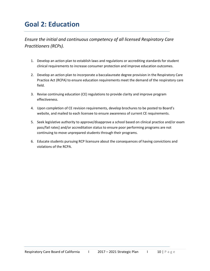## **Goal 2: Education**

 *Ensure the initial and continuous competency of all licensed Respiratory Care Practitioners (RCPs).* 

- 1. Develop an action plan to establish laws and regulations or accrediting standards for student clinical requirements to increase consumer protection and improve education outcomes.
- 2. Develop an action plan to incorporate a baccalaureate degree provision in the Respiratory Care Practice Act (RCPA) to ensure education requirements meet the demand of the respiratory care field.
- 3. Revise continuing education (CE) regulations to provide clarity and improve program effectiveness.
- 4. Upon completion of CE revision requirements, develop brochures to be posted to Board's website, and mailed to each licensee to ensure awareness of current CE requirements.
- 5. Seek legislative authority to approve/disapprove a school based on clinical practice and/or exam pass/fail rates] and/or accreditation status to ensure poor performing programs are not continuing to move unprepared students through their programs.
- <span id="page-9-0"></span>6. Educate students pursuing RCP licensure about the consequences of having convictions and violations of the RCPA.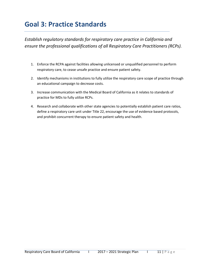## **Goal 3: Practice Standards**

 *ensure the professional qualifications of all Respiratory Care Practitioners (RCPs). Establish regulatory standards for respiratory care practice in California and* 

- 1. Enforce the RCPA against facilities allowing unlicensed or unqualified personnel to perform respiratory care, to cease unsafe practice and ensure patient safety.
- 2. Identify mechanisms in institutions to fully utilize the respiratory care scope of practice through an educational campaign to decrease costs.
- 3. Increase communication with the Medical Board of California as it relates to standards of practice for MDs to fully utilize RCPs.
- <span id="page-10-0"></span> and prohibit concurrent therapy to ensure patient safety and health. 4. Research and collaborate with other state agencies to potentially establish patient care ratios, define a respiratory care unit under Title 22, encourage the use of evidence based protocols,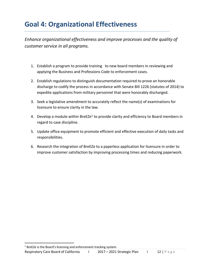## **Goal 4: Organizational Effectiveness**

 *Enhance organizational effectiveness and improve processes and the quality of customer service in all programs.* 

- 1. Establish a program to provide training to new board members in reviewing and applying the Business and Professions Code to enforcement cases.
- 2. Establish regulations to distinguish documentation required to prove an honorable discharge to codify the process in accordance with Senate Bill 1226 (statutes of 2014) to expedite applications from military personnel that were honorably discharged.
- 3. Seek a legislative amendment to accurately reflect the name(s) of examinations for licensure to ensure clarity in the law.
- 4. Develop a module within BreEZe<sup>1</sup> to provide clarity and efficiency to Board members in regard to case discipline.
- 5. Update office equipment to promote efficient and effective execution of daily tasks and responsibilities.
- 6. Research the integration of BreEZe to a paperless application for licensure in order to improve customer satisfaction by improving processing times and reducing paperwork.

 $\overline{\phantom{a}}$ 

 $1$  BreEZe is the Board's licensing and enforcement tracking system.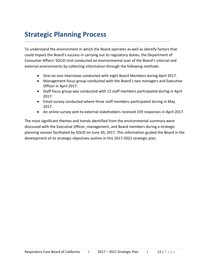### <span id="page-12-0"></span>**Strategic Planning Process**

 To understand the environment in which the Board operates as well as identify factors that could impact the Board's success in carrying out its regulatory duties, the Department of Consumer Affairs' SOLID Unit conducted an environmental scan of the Board's internal and external environments by collecting information through the following methods:

- One-on-one interviews conducted with eight Board Members during April 2017.
- Management focus group conducted with the Board's two managers and Executive Officer in April 2017.
- • Staff focus group was conducted with 12 staff members participated during in April 2017.
- • Email survey conducted where three staff members participated during in May 2017.
- An online survey sent to external stakeholders received 159 responses in April 2017.

 The most significant themes and trends identified from the environmental summary were discussed with the Executive Officer, management, and Board members during a strategic planning session facilitated by SOLID on June 30, 2017. This information guided the Board in the development of its strategic objectives outline in this 2017-2021 strategic plan.